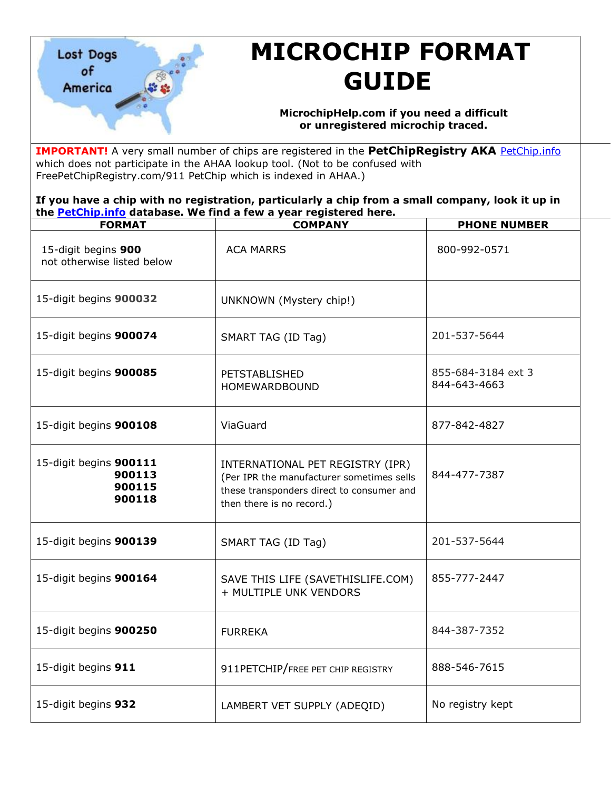

## **MICROCHIP FORMAT GUIDE**

## **MicrochipHelp.com if you need a difficult or unregistered microchip traced.**

**IMPORTANT!** A very small number of chips are registered in the PetChipRegistry AKA [PetChip.info](https://petchip.info/) which does not participate in the AHAA lookup tool. (Not to be confused with FreePetChipRegistry.com/911 PetChip which is indexed in AHAA.)

**If you have a chip with no registration, particularly a chip from a small company, look it up in the [PetChip.info](https://petchip.info/) database. We find a few a year registered here.**

| <b>FORMAT</b>                                        | <b>COMPANY</b>                                                                                                                                          | <b>PHONE NUMBER</b>                |
|------------------------------------------------------|---------------------------------------------------------------------------------------------------------------------------------------------------------|------------------------------------|
| 15-digit begins 900<br>not otherwise listed below    | <b>ACA MARRS</b>                                                                                                                                        | 800-992-0571                       |
| 15-digit begins 900032                               | UNKNOWN (Mystery chip!)                                                                                                                                 |                                    |
| 15-digit begins 900074                               | SMART TAG (ID Tag)                                                                                                                                      | 201-537-5644                       |
| 15-digit begins 900085                               | PETSTABLISHED<br>HOMEWARDBOUND                                                                                                                          | 855-684-3184 ext 3<br>844-643-4663 |
| 15-digit begins 900108                               | ViaGuard                                                                                                                                                | 877-842-4827                       |
| 15-digit begins 900111<br>900113<br>900115<br>900118 | INTERNATIONAL PET REGISTRY (IPR)<br>(Per IPR the manufacturer sometimes sells<br>these transponders direct to consumer and<br>then there is no record.) | 844-477-7387                       |
| 15-digit begins 900139                               | SMART TAG (ID Tag)                                                                                                                                      | 201-537-5644                       |
| 15-digit begins 900164                               | SAVE THIS LIFE (SAVETHISLIFE.COM)<br>+ MULTIPLE UNK VENDORS                                                                                             | 855-777-2447                       |
| 15-digit begins 900250                               | <b>FURREKA</b>                                                                                                                                          | 844-387-7352                       |
| 15-digit begins 911                                  | 911PETCHIP/FREE PET CHIP REGISTRY                                                                                                                       | 888-546-7615                       |
| 15-digit begins 932                                  | LAMBERT VET SUPPLY (ADEQID)                                                                                                                             | No registry kept                   |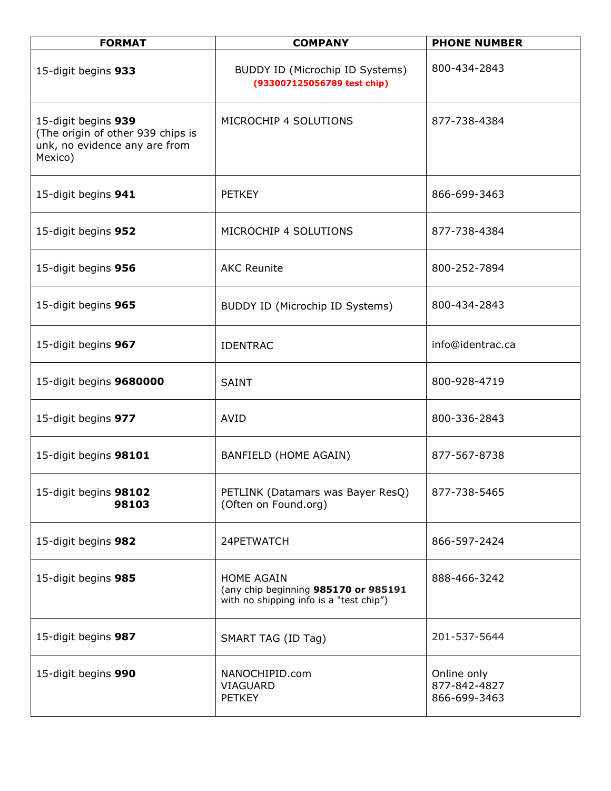| <b>FORMAT</b>                                                                                        | <b>COMPANY</b>                                                                                       | <b>PHONE NUMBER</b>                         |
|------------------------------------------------------------------------------------------------------|------------------------------------------------------------------------------------------------------|---------------------------------------------|
| 15-digit begins 933                                                                                  | BUDDY ID (Microchip ID Systems)<br>(933007125056789 test chip)                                       | 800-434-2843                                |
| 15-digit begins 939<br>(The origin of other 939 chips is<br>unk, no evidence any are from<br>Mexico) | MICROCHIP 4 SOLUTIONS                                                                                | 877-738-4384                                |
| 15-digit begins 941                                                                                  | <b>PETKEY</b>                                                                                        | 866-699-3463                                |
| 15-digit begins 952                                                                                  | MICROCHIP 4 SOLUTIONS                                                                                | 877-738-4384                                |
| 15-digit begins 956                                                                                  | <b>AKC Reunite</b>                                                                                   | 800-252-7894                                |
| 15-digit begins 965                                                                                  | BUDDY ID (Microchip ID Systems)                                                                      | 800-434-2843                                |
| 15-digit begins 967                                                                                  | <b>IDENTRAC</b>                                                                                      | info@identrac.ca                            |
| 15-digit begins 9680000                                                                              | <b>SAINT</b>                                                                                         | 800-928-4719                                |
| 15-digit begins 977                                                                                  | <b>AVID</b>                                                                                          | 800-336-2843                                |
| 15-digit begins 98101                                                                                | BANFIELD (HOME AGAIN)                                                                                | 877-567-8738                                |
| 15-digit begins 98102<br>98103                                                                       | PETLINK (Datamars was Bayer ResQ)<br>(Often on Found.org)                                            | 877-738-5465                                |
| 15-digit begins 982                                                                                  | 24PETWATCH                                                                                           | 866-597-2424                                |
| 15-digit begins 985                                                                                  | <b>HOME AGAIN</b><br>(any chip beginning 985170 or 985191<br>with no shipping info is a "test chip") | 888-466-3242                                |
| 15-digit begins 987                                                                                  | SMART TAG (ID Tag)                                                                                   | 201-537-5644                                |
| 15-digit begins 990                                                                                  | NANOCHIPID.com<br><b>VIAGUARD</b><br><b>PETKEY</b>                                                   | Online only<br>877-842-4827<br>866-699-3463 |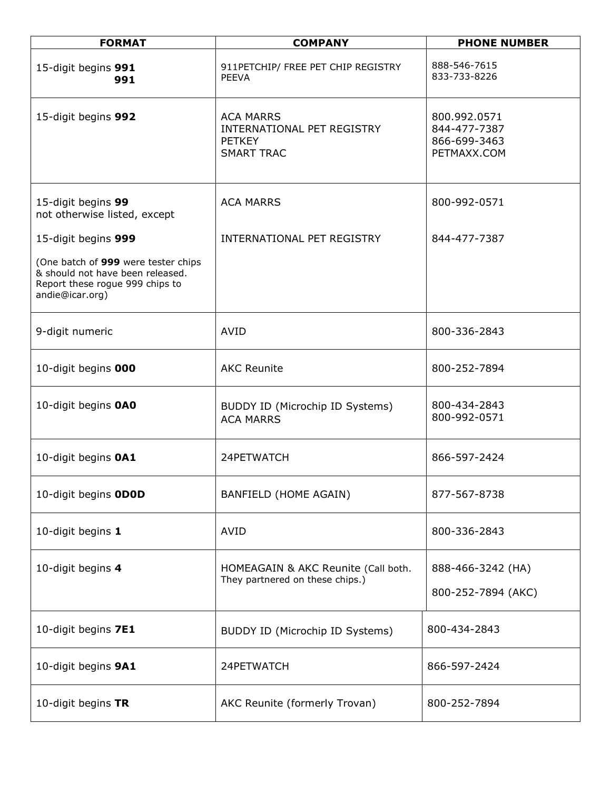| <b>FORMAT</b>                                                                                                                 | <b>COMPANY</b>                                                                       | <b>PHONE NUMBER</b>                                         |
|-------------------------------------------------------------------------------------------------------------------------------|--------------------------------------------------------------------------------------|-------------------------------------------------------------|
| 15-digit begins 991<br>991                                                                                                    | 911PETCHIP/ FREE PET CHIP REGISTRY<br><b>PEEVA</b>                                   | 888-546-7615<br>833-733-8226                                |
| 15-digit begins 992                                                                                                           | <b>ACA MARRS</b><br>INTERNATIONAL PET REGISTRY<br><b>PETKEY</b><br><b>SMART TRAC</b> | 800.992.0571<br>844-477-7387<br>866-699-3463<br>PETMAXX.COM |
| 15-digit begins 99<br>not otherwise listed, except                                                                            | <b>ACA MARRS</b>                                                                     | 800-992-0571                                                |
| 15-digit begins 999                                                                                                           | INTERNATIONAL PET REGISTRY                                                           | 844-477-7387                                                |
| (One batch of 999 were tester chips<br>& should not have been released.<br>Report these rogue 999 chips to<br>andie@icar.org) |                                                                                      |                                                             |
| 9-digit numeric                                                                                                               | <b>AVID</b>                                                                          | 800-336-2843                                                |
| 10-digit begins 000                                                                                                           | <b>AKC Reunite</b>                                                                   | 800-252-7894                                                |
| 10-digit begins OAO                                                                                                           | BUDDY ID (Microchip ID Systems)<br><b>ACA MARRS</b>                                  | 800-434-2843<br>800-992-0571                                |
| 10-digit begins OA1                                                                                                           | 24PETWATCH                                                                           | 866-597-2424                                                |
| 10-digit begins ODOD                                                                                                          | BANFIELD (HOME AGAIN)                                                                | 877-567-8738                                                |
| 10-digit begins 1                                                                                                             | <b>AVID</b>                                                                          | 800-336-2843                                                |
| 10-digit begins 4                                                                                                             | HOMEAGAIN & AKC Reunite (Call both.<br>They partnered on these chips.)               | 888-466-3242 (HA)<br>800-252-7894 (AKC)                     |
| 10-digit begins 7E1                                                                                                           | BUDDY ID (Microchip ID Systems)                                                      | 800-434-2843                                                |
| 10-digit begins 9A1                                                                                                           | 24PETWATCH                                                                           | 866-597-2424                                                |
| 10-digit begins TR                                                                                                            | AKC Reunite (formerly Trovan)                                                        | 800-252-7894                                                |